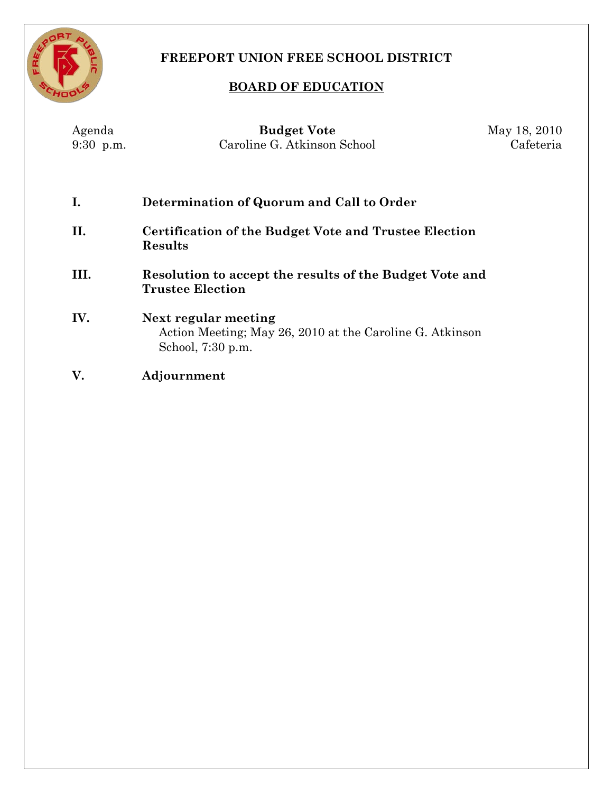

## **FREEPORT UNION FREE SCHOOL DISTRICT**

## **BOARD OF EDUCATION**

| Agenda<br>9:30 p.m. | <b>Budget Vote</b><br>Caroline G. Atkinson School                                                     | May 18, 2010<br>Cafeteria |
|---------------------|-------------------------------------------------------------------------------------------------------|---------------------------|
| Ι.                  | Determination of Quorum and Call to Order                                                             |                           |
| П.                  | Certification of the Budget Vote and Trustee Election<br>Results                                      |                           |
| III.                | Resolution to accept the results of the Budget Vote and<br><b>Trustee Election</b>                    |                           |
| IV.                 | Next regular meeting<br>Action Meeting; May 26, 2010 at the Caroline G. Atkinson<br>School, 7:30 p.m. |                           |
| V.                  | Adjournment                                                                                           |                           |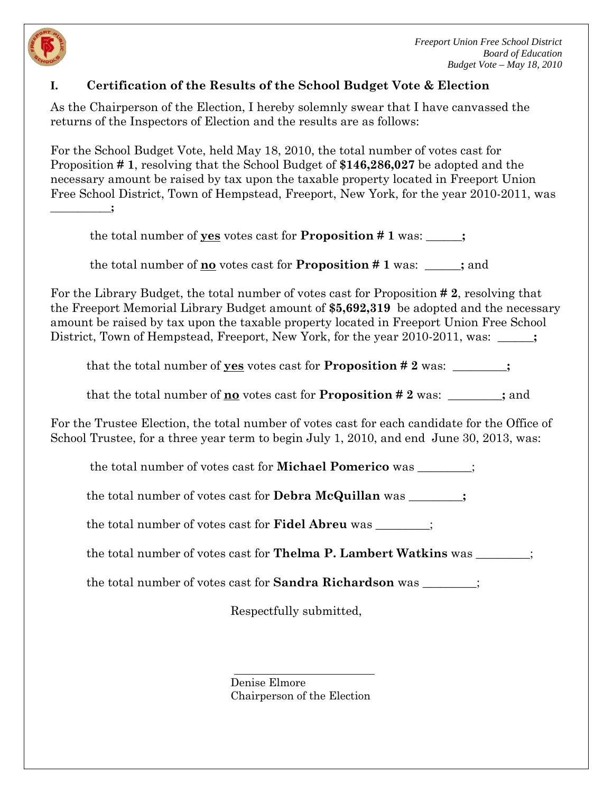

## **I. Certification of the Results of the School Budget Vote & Election**

As the Chairperson of the Election, I hereby solemnly swear that I have canvassed the returns of the Inspectors of Election and the results are as follows:

For the School Budget Vote, held May 18, 2010, the total number of votes cast for Proposition **# 1**, resolving that the School Budget of **\$146,286,027** be adopted and the necessary amount be raised by tax upon the taxable property located in Freeport Union Free School District, Town of Hempstead, Freeport, New York, for the year 2010-2011, was **\_\_\_\_\_\_\_\_\_\_\_;**

the total number of **yes** votes cast for **Proposition # 1** was: **\_\_\_\_\_\_;**

the total number of **no** votes cast for **Proposition # 1** was: **\_\_\_\_\_\_;** and

For the Library Budget, the total number of votes cast for Proposition **# 2**, resolving that the Freeport Memorial Library Budget amount of **\$5,692,319** be adopted and the necessary amount be raised by tax upon the taxable property located in Freeport Union Free School District, Town of Hempstead, Freeport, New York, for the year 2010-2011, was: \_\_\_\_\_;

that the total number of **yes** votes cast for **Proposition # 2** was: **\_\_\_\_\_\_\_\_\_;**

that the total number of **no** votes cast for **Proposition # 2** was: **\_\_\_\_\_\_\_\_\_;** and

For the Trustee Election, the total number of votes cast for each candidate for the Office of School Trustee, for a three year term to begin July 1, 2010, and end June 30, 2013, was:

the total number of votes cast for **Michael Pomerico** was \_\_\_\_\_\_\_\_\_;

the total number of votes cast for **Debra McQuillan** was **\_\_\_\_\_\_\_\_\_;**

the total number of votes cast for **Fidel Abreu** was \_\_\_\_\_\_\_\_\_;

the total number of votes cast for **Thelma P. Lambert Watkins** was \_\_\_\_\_\_\_\_\_;

the total number of votes cast for **Sandra Richardson** was \_\_\_\_\_\_\_\_\_;

Respectfully submitted,

Denise Elmore Chairperson of the Election